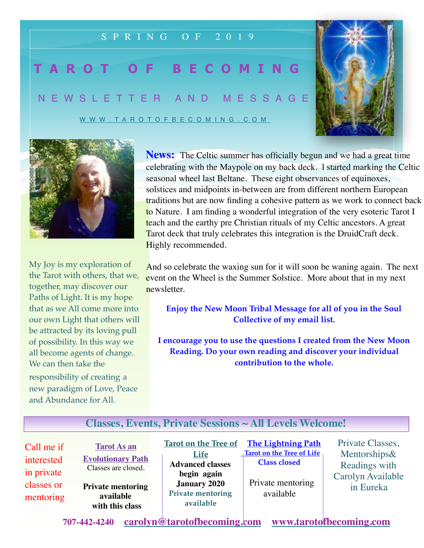#### SPRING OF 2019

# **TAROT OF BECOMING**

NEWSLETTER AND MESSAGE







My Joy is my exploration of the Tarot with others, that we, together, may discover our Paths of Light. It is my hope that as we All come more into our own Light that others will be attracted by its loving pull of possibility. In this way we all become agents of change. We can then take the responsibility of creating a new paradigm of Love, Peace and Abundance for All.

 **with this class**

mentoring

**News:** The Celtic summer has officially begun and we had a great time celebrating with the Maypole on my back deck. l started marking the Celtic seasonal wheel last Beltane. These eight observances of equinoxes, solstices and midpoints in-between are from different northern European traditions but are now finding a cohesive pattern as we work to connect back to Nature.I am finding a wonderful integration of the very esoteric Tarot I teach and the earthy pre Christian rituals of my Celtic ancestors. A great Tarot deck that truly celebrates this integration is the DruidCraft deck. Highly recommended.

And so celebrate the waxing sun for it will soon be waning again. The next event on the Wheel is the Summer Solstice. More about that in my next newsletter.

**Enjoy the New Moon Tribal Message for all of you in the Soul Collective of my email list.**

**I encourage you to use the questions I created from the New Moon Reading. Do your own reading and discover your individual contribution to the whole.**

#### classes or **Tarot on the Tree of Life Advanced classes begin again January 2020 Private mentoring The Lightning Path Tarot on the Tree of Life Class closed** Private mentoring available **Classes, Events, Private Sessions ~ All Levels Welcome!** Call me if interested in private **Tarot As an Evolutionary Path** Classes are closed. **Private mentoring available**  Private Classes, Mentorships& Readings with Carolyn Available in Eureka

**available**

 **707-442-4240 [carolyn@tarotofbecoming.com](mailto:carolyn@tarotofbecoming.com) [www.tarotofbecoming.com](http://www.tarotofbecoming.com)**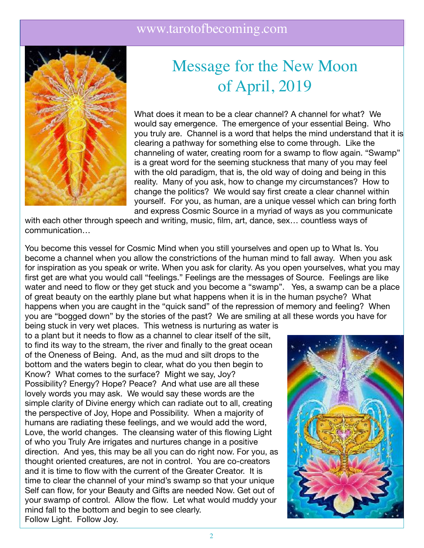### www.tarotofbecoming.com and the Lorentz Summer 2012 is a state of the Lorentz Summer 2012 is a state of the Lo



# Message for the New Moon of April, 2019

What does it mean to be a clear channel? A channel for what? We would say emergence. The emergence of your essential Being. Who you truly are. Channel is a word that helps the mind understand that it is clearing a pathway for something else to come through. Like the channeling of water, creating room for a swamp to flow again. "Swamp" is a great word for the seeming stuckness that many of you may feel with the old paradigm, that is, the old way of doing and being in this reality. Many of you ask, how to change my circumstances? How to change the politics? We would say first create a clear channel within yourself. For you, as human, are a unique vessel which can bring forth and express Cosmic Source in a myriad of ways as you communicate

with each other through speech and writing, music, film, art, dance, sex… countless ways of communication…

You become this vessel for Cosmic Mind when you still yourselves and open up to What Is. You become a channel when you allow the constrictions of the human mind to fall away. When you ask for inspiration as you speak or write. When you ask for clarity. As you open yourselves, what you may first get are what you would call "feelings." Feelings are the messages of Source. Feelings are like water and need to flow or they get stuck and you become a "swamp". Yes, a swamp can be a place of great beauty on the earthly plane but what happens when it is in the human psyche? What happens when you are caught in the "quick sand" of the repression of memory and feeling? When you are "bogged down" by the stories of the past? We are smiling at all these words you have for

being stuck in very wet places. This wetness is nurturing as water is to a plant but it needs to flow as a channel to clear itself of the silt, to find its way to the stream, the river and finally to the great ocean of the Oneness of Being. And, as the mud and silt drops to the bottom and the waters begin to clear, what do you then begin to Know? What comes to the surface? Might we say, Joy? Possibility? Energy? Hope? Peace? And what use are all these lovely words you may ask. We would say these words are the simple clarity of Divine energy which can radiate out to all, creating the perspective of Joy, Hope and Possibility. When a majority of humans are radiating these feelings, and we would add the word, Love, the world changes. The cleansing water of this flowing Light of who you Truly Are irrigates and nurtures change in a positive direction. And yes, this may be all you can do right now. For you, as thought oriented creatures, are not in control. You are co-creators and it is time to flow with the current of the Greater Creator. It is time to clear the channel of your mind's swamp so that your unique Self can flow, for your Beauty and Gifts are needed Now. Get out of your swamp of control. Allow the flow. Let what would muddy your mind fall to the bottom and begin to see clearly. Follow Light. Follow Joy.

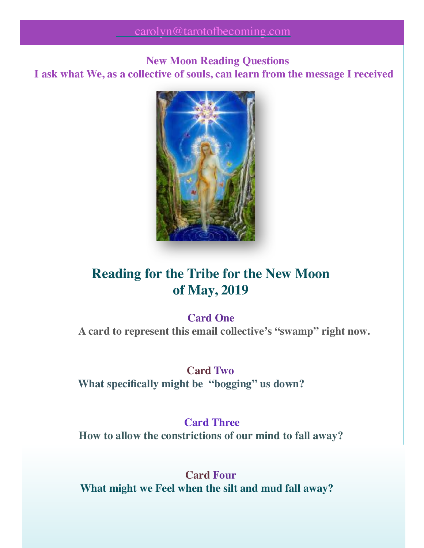**New Moon Reading Questions** 

**I ask what We, as a collective of souls, can learn from the message I received**



## **Reading for the Tribe for the New Moon of May, 2019**

**Card One A card to represent this email collective's "swamp" right now.** 

**Card Two What specifically might be "bogging" us down?** 

**Card Three How to allow the constrictions of our mind to fall away?** 

**Card Four What might we Feel when the silt and mud fall away?**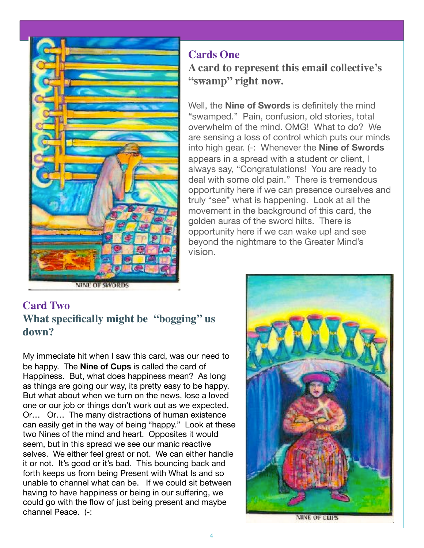

#### **Cards One A card to represent this email collective's "swamp" right now.**

Well, the **Nine of Swords** is definitely the mind "swamped." Pain, confusion, old stories, total overwhelm of the mind. OMG! What to do? We are sensing a loss of control which puts our minds into high gear. (-: Whenever the **Nine of Swords** appears in a spread with a student or client, I always say, "Congratulations! You are ready to deal with some old pain." There is tremendous opportunity here if we can presence ourselves and truly "see" what is happening. Look at all the movement in the background of this card, the golden auras of the sword hilts. There is opportunity here if we can wake up! and see beyond the nightmare to the Greater Mind's vision.

### **Card Two What specifically might be "bogging" us down?**

My immediate hit when I saw this card, was our need to be happy. The **Nine of Cups** is called the card of Happiness. But, what does happiness mean? As long as things are going our way, its pretty easy to be happy. But what about when we turn on the news, lose a loved one or our job or things don't work out as we expected, Or… Or… The many distractions of human existence can easily get in the way of being "happy." Look at these two Nines of the mind and heart. Opposites it would seem, but in this spread we see our manic reactive selves. We either feel great or not. We can either handle it or not. It's good or it's bad. This bouncing back and forth keeps us from being Present with What Is and so unable to channel what can be. If we could sit between having to have happiness or being in our suffering, we could go with the flow of just being present and maybe channel Peace. (-:

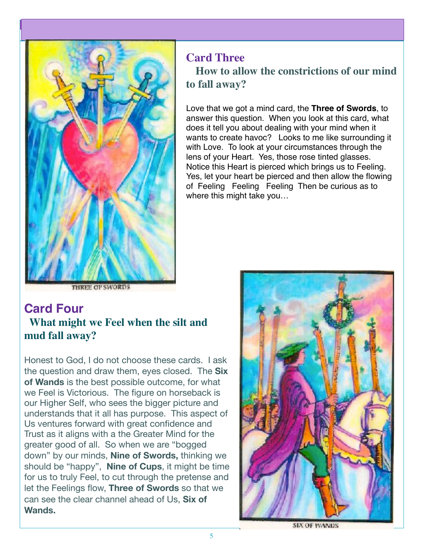

### **Card Three How to allow the constrictions of our mind to fall away?**

Love that we got a mind card, the **Three of Swords**, to answer this question. When you look at this card, what does it tell you about dealing with your mind when it wants to create havoc? Looks to me like surrounding it with Love. To look at your circumstances through the lens of your Heart. Yes, those rose tinted glasses. Notice this Heart is pierced which brings us to Feeling. Yes, let your heart be pierced and then allow the flowing of Feeling Feeling Feeling Then be curious as to where this might take you…

**THREE OF SWORDS** 

### **Card Four What might we Feel when the silt and mud fall away?**

Honest to God, I do not choose these cards. I ask the question and draw them, eyes closed. The **Six of Wands** is the best possible outcome, for what we Feel is Victorious. The figure on horseback is our Higher Self, who sees the bigger picture and understands that it all has purpose. This aspect of Us ventures forward with great confidence and Trust as it aligns with a the Greater Mind for the greater good of all. So when we are "bogged down" by our minds, **Nine of Swords,** thinking we should be "happy", **Nine of Cups**, it might be time for us to truly Feel, to cut through the pretense and let the Feelings flow, **Three of Swords** so that we can see the clear channel ahead of Us, **Six of Wands.** 



**SIX OF WANDS**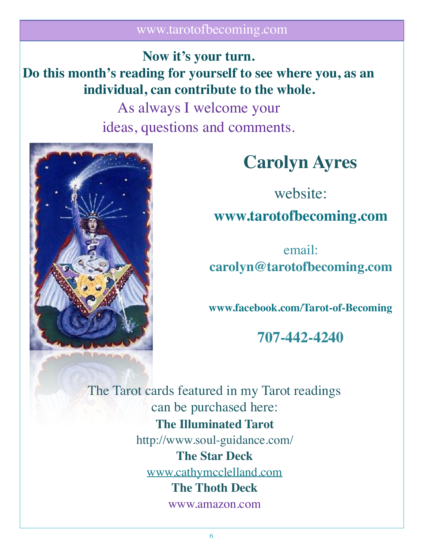### www.tarotofbecoming.com and the Lorentz Summer 2012 is a state of the Lorentz Summer 2012 is a state of the Lo

**Now it's your turn. Do this month's reading for yourself to see where you, as an individual, can contribute to the whole.**

> As always I welcome your ideas, questions and comments.



website: **[www.tarotofbecoming.com](http://www.tarotofbecoming.com)**

email: **carolyn@tarotofbecoming.com**

**[www.facebook.com/Tarot-of-Becoming](http://www.facebook.com/Tarot-of-Becoming)**

**707-442-4240**

The Tarot cards featured in my Tarot readings can be purchased here: **The Illuminated Tarot** http://www.soul-guidance.com/ **The Star Deck** [www.cathymcclelland.com](http://www.cathymcclelland.com) **The Thoth Deck**  www.amazon.com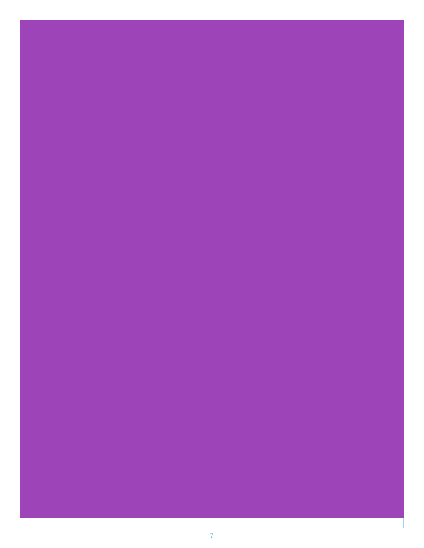$\overline{7}$